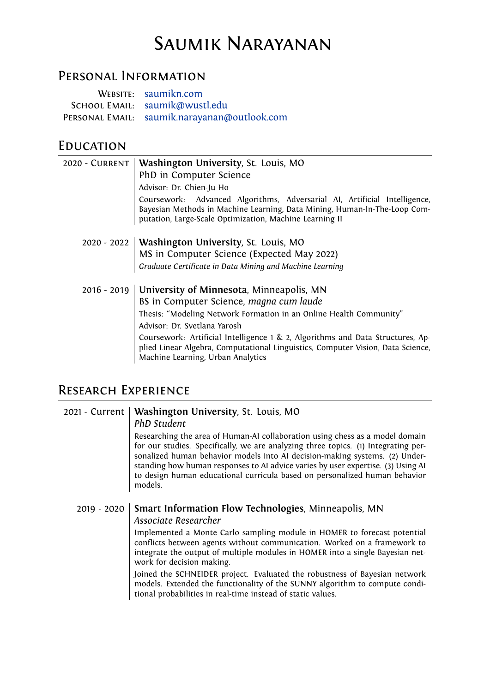# Saumik Narayanan

### Personal Information

| WEBSITE: saumikn.com                         |
|----------------------------------------------|
| SCHOOL EMAIL: saumik@wustl.edu               |
| PERSONAL EMAIL: saumik.narayanan@outlook.com |

### **EDUCATION**

| 2020 - CURRENT   Washington University, St. Louis, MO                                                                                                                                                             |
|-------------------------------------------------------------------------------------------------------------------------------------------------------------------------------------------------------------------|
| PhD in Computer Science                                                                                                                                                                                           |
| Advisor: Dr. Chien-Ju Ho                                                                                                                                                                                          |
| Coursework: Advanced Algorithms, Adversarial AI, Artificial Intelligence,<br>Bayesian Methods in Machine Learning, Data Mining, Human-In-The-Loop Com-<br>putation, Large-Scale Optimization, Machine Learning II |
| 2020 - 2022   Washington University, St. Louis, MO                                                                                                                                                                |
| MS in Computer Science (Expected May 2022)                                                                                                                                                                        |
| Graduate Certificate in Data Mining and Machine Learning                                                                                                                                                          |
| 2016 - 2019   University of Minnesota, Minneapolis, MN                                                                                                                                                            |
| BS in Computer Science, magna cum laude                                                                                                                                                                           |
| Thesis: "Modeling Network Formation in an Online Health Community"                                                                                                                                                |
| Advisor: Dr. Svetlana Yarosh                                                                                                                                                                                      |
| Coursework: Artificial Intelligence 1 & 2, Algorithms and Data Structures, Ap-<br>plied Linear Algebra, Computational Linguistics, Computer Vision, Data Science,<br>Machine Learning, Urban Analytics            |

### Research Experience

#### 2021 - Current **Washington University**, St. Louis, MO *PhD Student*

Researching the area of Human-AI collaboration using chess as a model domain for our studies. Specifically, we are analyzing three topics. (1) Integrating personalized human behavior models into AI decision-making systems. (2) Understanding how human responses to AI advice varies by user expertise. (3) Using AI to design human educational curricula based on personalized human behavior models.

2019 - 2020 **Smart Information Flow Technologies**, Minneapolis, MN *Associate Researcher*

> Implemented a Monte Carlo sampling module in HOMER to forecast potential conflicts between agents without communication. Worked on a framework to integrate the output of multiple modules in HOMER into a single Bayesian network for decision making.

> Joined the SCHNEIDER project. Evaluated the robustness of Bayesian network models. Extended the functionality of the SUNNY algorithm to compute conditional probabilities in real-time instead of static values.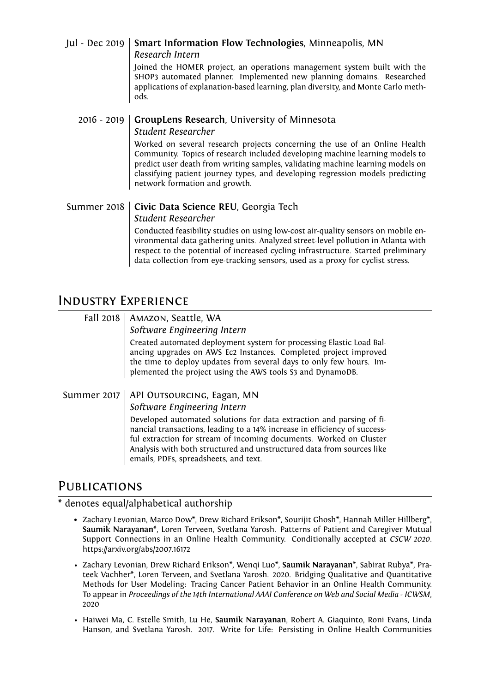| Jul - Dec 2019 | Smart Information Flow Technologies, Minneapolis, MN<br>Research Intern<br>Joined the HOMER project, an operations management system built with the<br>SHOP3 automated planner. Implemented new planning domains. Researched<br>applications of explanation-based learning, plan diversity, and Monte Carlo meth-<br>ods.                                                                                                                   |
|----------------|---------------------------------------------------------------------------------------------------------------------------------------------------------------------------------------------------------------------------------------------------------------------------------------------------------------------------------------------------------------------------------------------------------------------------------------------|
| $2016 - 2019$  | GroupLens Research, University of Minnesota<br><b>Student Researcher</b><br>Worked on several research projects concerning the use of an Online Health<br>Community. Topics of research included developing machine learning models to<br>predict user death from writing samples, validating machine learning models on<br>classifying patient journey types, and developing regression models predicting<br>network formation and growth. |
| Summer 2018    | Civic Data Science REU, Georgia Tech<br><b>Student Researcher</b><br>Conducted feasibility studies on using low-cost air-quality sensors on mobile en-<br>vironmental data gathering units. Analyzed street-level pollution in Atlanta with<br>respect to the potential of increased cycling infrastructure. Started preliminary                                                                                                            |

data collection from eye-tracking sensors, used as a proxy for cyclist stress.

### Industry Experience

### Fall 2018 | AMAZON, Seattle, WA *Software Engineering Intern* Created automated deployment system for processing Elastic Load Balancing upgrades on AWS Ec2 Instances. Completed project improved the time to deploy updates from several days to only few hours. Implemented the project using the AWS tools S3 and DynamoDB. Summer 2017 | API OUTSOURCING, Eagan, MN *Software Engineering Intern* Developed automated solutions for data extraction and parsing of financial transactions, leading to a 14% increase in efficiency of successful extraction for stream of incoming documents. Worked on Cluster Analysis with both structured and unstructured data from sources like

emails, PDFs, spreadsheets, and text.

# **PUBLICATIONS**

### \* denotes equal/alphabetical authorship

- Zachary Levonian, Marco Dow\*, Drew Richard Erikson\*, Sourijit Ghosh\*, Hannah Miller Hillberg\*, **Saumik Narayanan**\*, Loren Terveen, Svetlana Yarosh. Patterns of Patient and Caregiver Mutual Support Connections in an Online Health Community. Conditionally accepted at *CSCW 2020*. https://arxiv.org/abs/2007.16172
- Zachary Levonian, Drew Richard Erikson\*, Wenqi Luo\*, **Saumik Narayanan**\*, Sabirat Rubya\*, Prateek Vachher\*, Loren Terveen, and Svetlana Yarosh. 2020. Bridging Qualitative and Quantitative Methods for User Modeling: Tracing Cancer Patient Behavior in an Online Health Community. To appear in *Proceedings of the 14th International AAAI Conference on Web and Social Media - ICWSM*, 2020
- Haiwei Ma, C. Estelle Smith, Lu He, **Saumik Narayanan**, Robert A. Giaquinto, Roni Evans, Linda Hanson, and Svetlana Yarosh. 2017. Write for Life: Persisting in Online Health Communities